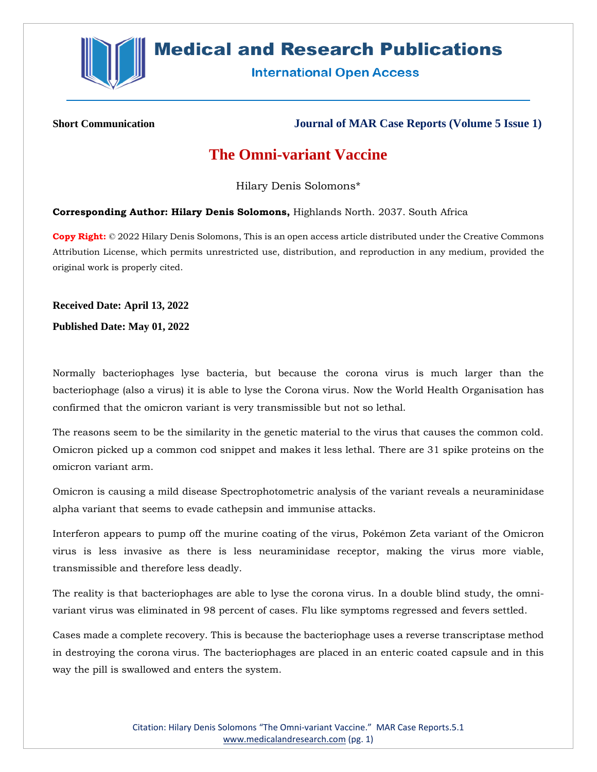

## **Medical and Research Publications**

**International Open Access** 

**Short Communication Journal of MAR Case Reports (Volume 5 Issue 1)**

## **The Omni-variant Vaccine**

Hilary Denis Solomons\*

**Corresponding Author: Hilary Denis Solomons,** Highlands North. 2037. South Africa

**Copy Right:** © 2022 Hilary Denis Solomons, This is an open access article distributed under the Creative Commons Attribution License, which permits unrestricted use, distribution, and reproduction in any medium, provided the original work is properly cited.

**Received Date: April 13, 2022**

**Published Date: May 01, 2022**

Normally bacteriophages lyse bacteria, but because the corona virus is much larger than the bacteriophage (also a virus) it is able to lyse the Corona virus. Now the World Health Organisation has confirmed that the omicron variant is very transmissible but not so lethal.

The reasons seem to be the similarity in the genetic material to the virus that causes the common cold. Omicron picked up a common cod snippet and makes it less lethal. There are 31 spike proteins on the omicron variant arm.

Omicron is causing a mild disease Spectrophotometric analysis of the variant reveals a neuraminidase alpha variant that seems to evade cathepsin and immunise attacks.

Interferon appears to pump off the murine coating of the virus, Pokémon Zeta variant of the Omicron virus is less invasive as there is less neuraminidase receptor, making the virus more viable, transmissible and therefore less deadly.

The reality is that bacteriophages are able to lyse the corona virus. In a double blind study, the omnivariant virus was eliminated in 98 percent of cases. Flu like symptoms regressed and fevers settled.

Cases made a complete recovery. This is because the bacteriophage uses a reverse transcriptase method in destroying the corona virus. The bacteriophages are placed in an enteric coated capsule and in this way the pill is swallowed and enters the system.